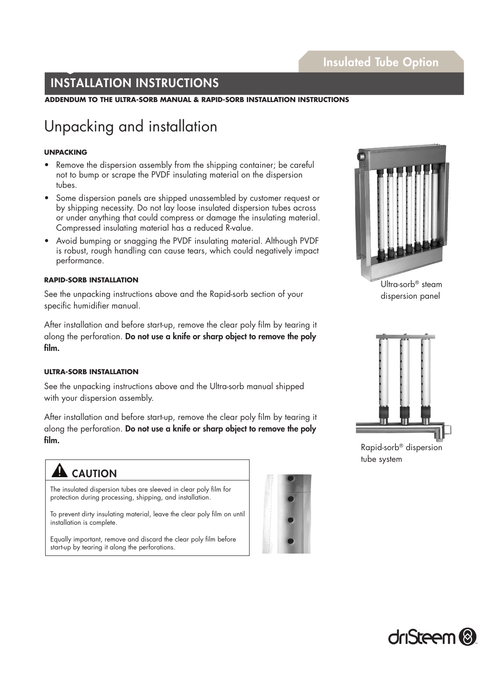### INSTALLATION INSTRUCTIONS

**ADDENDUM TO THE ULTRA-SORB MANUAL & RAPID-SORB INSTALLATION INSTRUCTIONS**

## Unpacking and installation

#### **UNPACKING**

- Remove the dispersion assembly from the shipping container; be careful not to bump or scrape the PVDF insulating material on the dispersion tubes.
- Some dispersion panels are shipped unassembled by customer request or by shipping necessity. Do not lay loose insulated dispersion tubes across or under anything that could compress or damage the insulating material. Compressed insulating material has a reduced R-value.
- Avoid bumping or snagging the PVDF insulating material. Although PVDF is robust, rough handling can cause tears, which could negatively impact performance.

#### **RAPID-SORB INSTALLATION**

See the unpacking instructions above and the Rapid-sorb section of your specific humidifier manual.

After installation and before start-up, remove the clear poly film by tearing it along the perforation. Do not use a knife or sharp object to remove the poly film.

#### **ULTRA-SORB INSTALLATION**

See the unpacking instructions above and the Ultra-sorb manual shipped with your dispersion assembly.

After installation and before start-up, remove the clear poly film by tearing it along the perforation. Do not use a knife or sharp object to remove the poly film.

### CAUTION

The insulated dispersion tubes are sleeved in clear poly film for protection during processing, shipping, and installation.

To prevent dirty insulating material, leave the clear poly film on until installation is complete.

Equally important, remove and discard the clear poly film before start-up by tearing it along the perforations.





Ultra-sorb® steam dispersion panel



Rapid-sorb® dispersion tube system

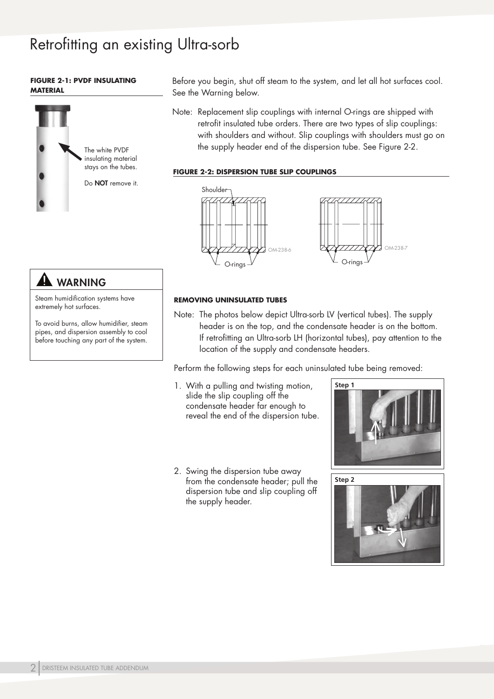# Retrofitting an existing Ultra-sorb

#### **FIGURE 2-1: PVDF INSULATING MATERIAL**



Before you begin, shut off steam to the system, and let all hot surfaces cool. See the Warning below.

Note: Replacement slip couplings with internal O-rings are shipped with retrofit insulated tube orders. There are two types of slip couplings: with shoulders and without. Slip couplings with shoulders must go on the supply header end of the dispersion tube. See Figure 2-2.

#### **FIGURE 2-2: DISPERSION TUBE SLIP COUPLINGS**



### **AL WARNING**

Steam humidification systems have extremely hot surfaces.

To avoid burns, allow humidifier, steam pipes, and dispersion assembly to cool before touching any part of the system.

#### **REMOVING UNINSULATED TUBES**

Note: The photos below depict Ultra-sorb LV (vertical tubes). The supply header is on the top, and the condensate header is on the bottom. If retrofitting an Ultra-sorb LH (horizontal tubes), pay attention to the location of the supply and condensate headers.

Perform the following steps for each uninsulated tube being removed:

- 1. With a pulling and twisting motion, slide the slip coupling off the condensate header far enough to reveal the end of the dispersion tube.
- 2. Swing the dispersion tube away from the condensate header; pull the dispersion tube and slip coupling off the supply header.



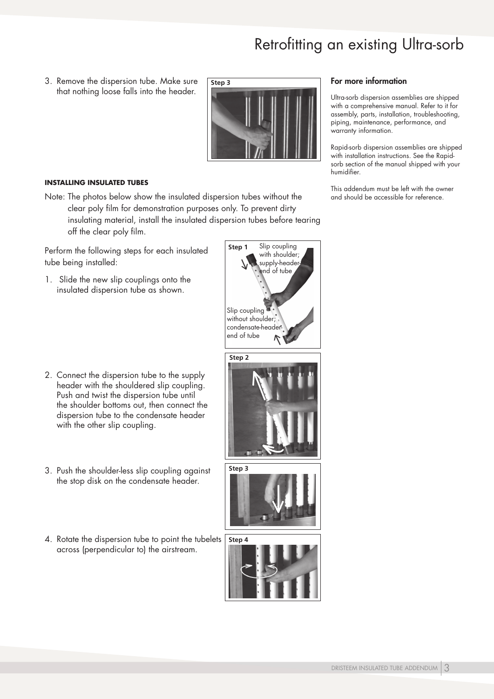# Retrofitting an existing Ultra-sorb

3. Remove the dispersion tube. Make sure that nothing loose falls into the header.



#### **INSTALLING INSULATED TUBES**

Note: The photos below show the insulated dispersion tubes without the clear poly film for demonstration purposes only. To prevent dirty insulating material, install the insulated dispersion tubes before tearing off the clear poly film.

Perform the following steps for each insulated tube being installed:

1. Slide the new slip couplings onto the insulated dispersion tube as shown.

- 2. Connect the dispersion tube to the supply header with the shouldered slip coupling. Push and twist the dispersion tube until the shoulder bottoms out, then connect the dispersion tube to the condensate header with the other slip coupling.
- 3. Push the shoulder-less slip coupling against the stop disk on the condensate header.
- 4. Rotate the dispersion tube to point the tubelets across (perpendicular to) the airstream.





#### For more information

Ultra-sorb dispersion assemblies are shipped with a comprehensive manual. Refer to it for assembly, parts, installation, troubleshooting, piping, maintenance, performance, and warranty information.

Rapid-sorb dispersion assemblies are shipped with installation instructions. See the Rapidsorb section of the manual shipped with your humidifier.

This addendum must be left with the owner and should be accessible for reference.